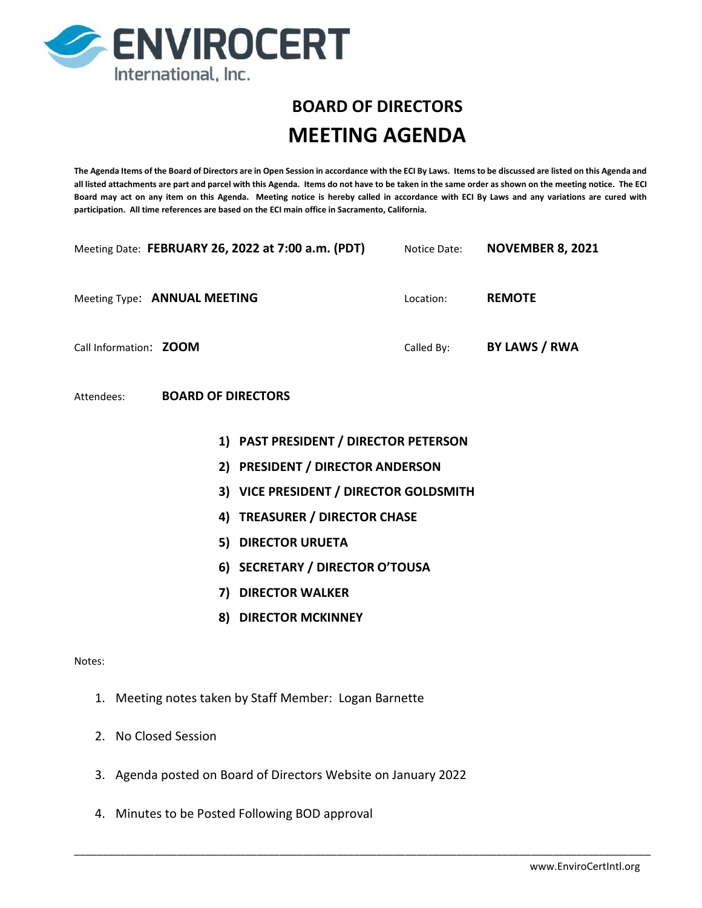

# **BOARD OF DIRECTORS MEETING AGENDA**

**The Agenda Items of the Board of Directors are in Open Session in accordance with the ECI By Laws. Items to be discussed are listed on this Agenda and all listed attachments are part and parcel with this Agenda. Items do not have to be taken in the same order as shown on the meeting notice. The ECI Board may act on any item on this Agenda. Meeting notice is hereby called in accordance with ECI By Laws and any variations are cured with participation. All time references are based on the ECI main office in Sacramento, California.**

|                                         | Meeting Date: FEBRUARY 26, 2022 at 7:00 a.m. (PDT) Notice Date: NOVEMBER 8, 2021 |           |                                 |
|-----------------------------------------|----------------------------------------------------------------------------------|-----------|---------------------------------|
| Meeting Type: ANNUAL MEETING            |                                                                                  | Location: | <b>REMOTE</b>                   |
| Call Information: ZOOM                  |                                                                                  |           | Called By: <b>BY LAWS / RWA</b> |
| <b>BOARD OF DIRECTORS</b><br>Attendees: |                                                                                  |           |                                 |
|                                         | 1) PAST PRESIDENT / DIRECTOR PETERSON                                            |           |                                 |
|                                         | 2) PRESIDENT / DIRECTOR ANDERSON                                                 |           |                                 |
|                                         | 3) VICE PRESIDENT / DIRECTOR GOLDSMITH                                           |           |                                 |
|                                         | 4) TREASURER / DIRECTOR CHASE                                                    |           |                                 |
|                                         | 5) DIRECTOR URUETA                                                               |           |                                 |
|                                         | 6) SECRETARY / DIRECTOR O'TOUSA                                                  |           |                                 |
|                                         | 7) DIRECTOR WALKER                                                               |           |                                 |
|                                         | 8) DIRECTOR MCKINNEY                                                             |           |                                 |
| Notes:                                  |                                                                                  |           |                                 |
|                                         | 1. Meeting notes taken by Staff Member: Logan Barnette                           |           |                                 |

- 2. No Closed Session
- 3. Agenda posted on Board of Directors Website on January 2022

\_\_\_\_\_\_\_\_\_\_\_\_\_\_\_\_\_\_\_\_\_\_\_\_\_\_\_\_\_\_\_\_\_\_\_\_\_\_\_\_\_\_\_\_\_\_\_\_\_\_\_\_\_\_\_\_\_\_\_\_\_\_\_\_\_\_\_\_\_\_\_\_\_\_\_\_\_\_\_\_\_\_\_\_\_\_\_\_\_\_\_\_\_\_\_\_\_\_\_\_\_

4. Minutes to be Posted Following BOD approval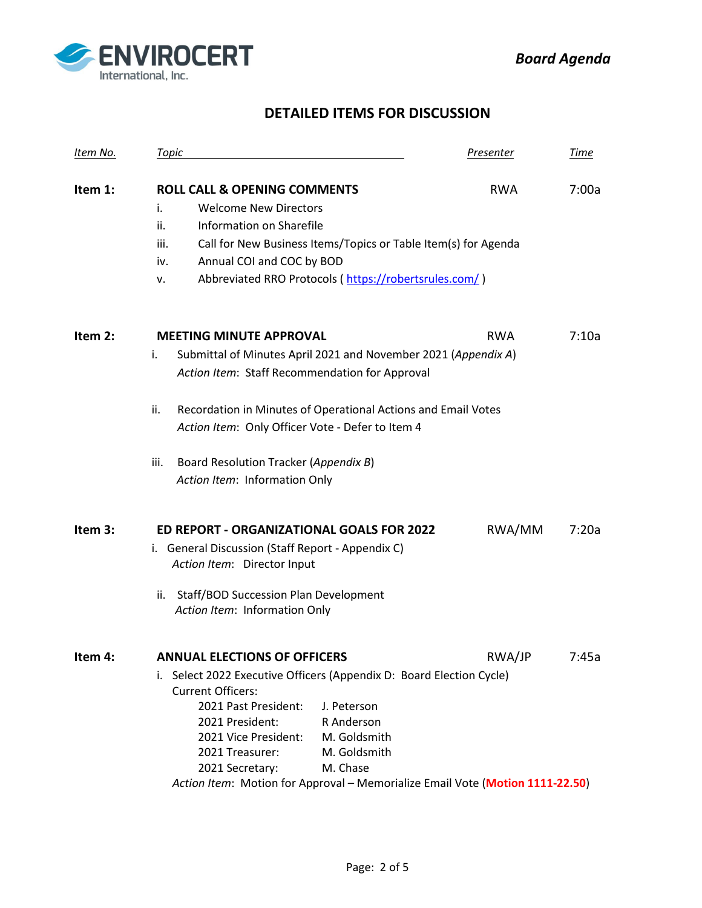

## **DETAILED ITEMS FOR DISCUSSION**

| Item No. | <b>Topic</b>                                                                                                                                                                                                                                                                                                                                                                                        | <b>Presenter</b> | <b>Time</b> |
|----------|-----------------------------------------------------------------------------------------------------------------------------------------------------------------------------------------------------------------------------------------------------------------------------------------------------------------------------------------------------------------------------------------------------|------------------|-------------|
| Item 1:  | <b>ROLL CALL &amp; OPENING COMMENTS</b><br><b>Welcome New Directors</b><br>i.<br>Information on Sharefile<br>ii.<br>iii.<br>Call for New Business Items/Topics or Table Item(s) for Agenda<br>Annual COI and COC by BOD<br>iv.<br>Abbreviated RRO Protocols (https://robertsrules.com/)<br>ν.                                                                                                       | <b>RWA</b>       | 7:00a       |
| Item 2:  | <b>MEETING MINUTE APPROVAL</b><br>i.<br>Submittal of Minutes April 2021 and November 2021 (Appendix A)<br>Action Item: Staff Recommendation for Approval<br>Recordation in Minutes of Operational Actions and Email Votes<br>ii.<br>Action Item: Only Officer Vote - Defer to Item 4<br>Board Resolution Tracker (Appendix B)<br>iii.<br>Action Item: Information Only                              | <b>RWA</b>       | 7:10a       |
| Item 3:  | ED REPORT - ORGANIZATIONAL GOALS FOR 2022<br>i. General Discussion (Staff Report - Appendix C)<br>Action Item: Director Input<br>Staff/BOD Succession Plan Development<br>ii.<br>Action Item: Information Only                                                                                                                                                                                      | RWA/MM           | 7:20a       |
| ltem 4:  | ANNUAL FLFCTIONS OF OFFICFRS<br>i. Select 2022 Executive Officers (Appendix D: Board Election Cycle)<br><b>Current Officers:</b><br>2021 Past President:<br>J. Peterson<br>2021 President:<br>R Anderson<br>2021 Vice President:<br>M. Goldsmith<br>M. Goldsmith<br>2021 Treasurer:<br>M. Chase<br>2021 Secretary:<br>Action Item: Motion for Approval - Memorialize Email Vote (Motion 1111-22.50) | RWA/JP           | 7:45a       |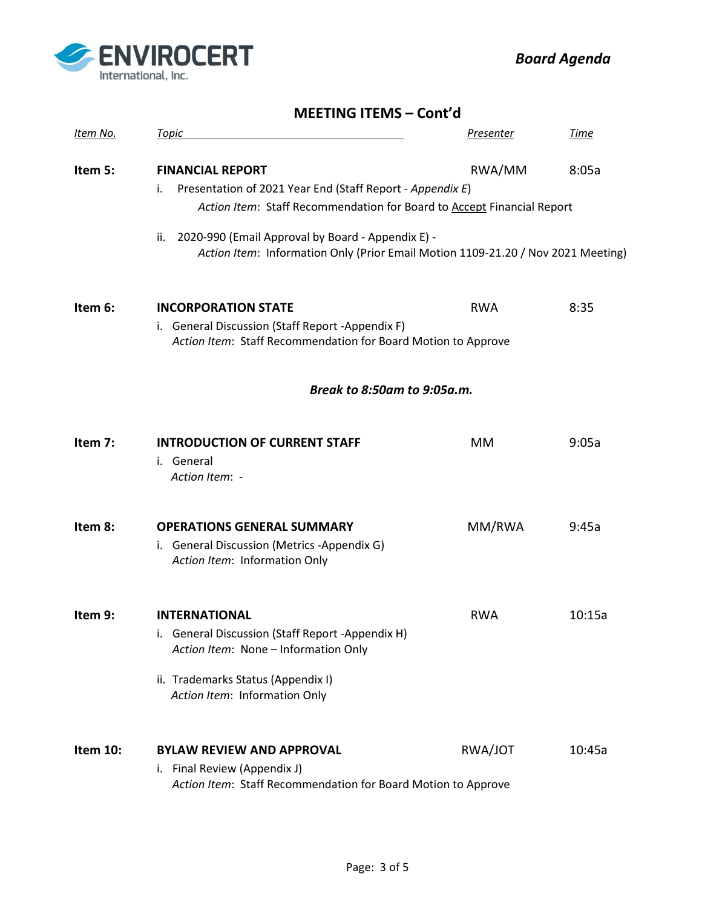

 *Board Agenda*

|                 | <b>MEETING ITEMS - Cont'd</b>                                                                                                                                                           |                  |        |  |  |
|-----------------|-----------------------------------------------------------------------------------------------------------------------------------------------------------------------------------------|------------------|--------|--|--|
| <u>ltem No.</u> | <b>Topic</b>                                                                                                                                                                            | <b>Presenter</b> | Time   |  |  |
| Item 5:         | <b>FINANCIAL REPORT</b><br>Presentation of 2021 Year End (Staff Report - Appendix E)<br>i.<br>Action Item: Staff Recommendation for Board to Accept Financial Report                    | RWA/MM           | 8:05a  |  |  |
|                 | 2020-990 (Email Approval by Board - Appendix E) -<br>ii.<br>Action Item: Information Only (Prior Email Motion 1109-21.20 / Nov 2021 Meeting)                                            |                  |        |  |  |
| Item 6:         | <b>INCORPORATION STATE</b><br>i. General Discussion (Staff Report -Appendix F)<br>Action Item: Staff Recommendation for Board Motion to Approve                                         | <b>RWA</b>       | 8:35   |  |  |
|                 | <b>Break to 8:50am to 9:05a.m.</b>                                                                                                                                                      |                  |        |  |  |
| Item 7:         | <b>INTRODUCTION OF CURRENT STAFF</b><br>i. General<br>Action Item: -                                                                                                                    | MM               | 9:05a  |  |  |
| Item 8:         | <b>OPERATIONS GENERAL SUMMARY</b><br>i. General Discussion (Metrics -Appendix G)<br>Action Item: Information Only                                                                       | MM/RWA           | 9:45a  |  |  |
| Item 9:         | <b>INTERNATIONAL</b><br>i. General Discussion (Staff Report -Appendix H)<br>Action Item: None - Information Only<br>ii. Trademarks Status (Appendix I)<br>Action Item: Information Only | <b>RWA</b>       | 10:15a |  |  |
| Item 10:        | <b>BYLAW REVIEW AND APPROVAL</b><br>i. Final Review (Appendix J)<br>Action Item: Staff Recommendation for Board Motion to Approve                                                       | RWA/JOT          | 10:45a |  |  |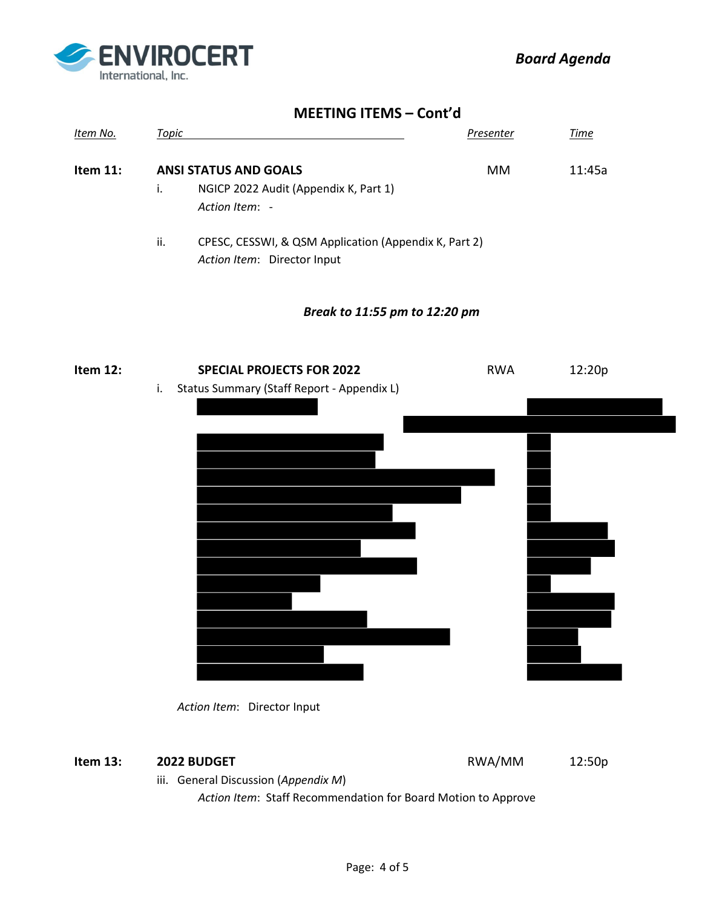

#### **MEETING ITEMS – Cont'd**

| Item No.    | Topic |                                                                                      | Presenter | Time   |
|-------------|-------|--------------------------------------------------------------------------------------|-----------|--------|
| Item $11$ : |       | <b>ANSI STATUS AND GOALS</b>                                                         | MM.       | 11:45a |
|             |       | NGICP 2022 Audit (Appendix K, Part 1)<br>Action Item: -                              |           |        |
|             | ii.   | CPESC, CESSWI, & QSM Application (Appendix K, Part 2)<br>Action Item: Director Input |           |        |

#### *Break to 11:55 pm to 12:20 pm*





#### **Item 13: 2022 BUDGET RWA/MM 12:50p**

iii. General Discussion (*Appendix M*)

 *Action Item*: Staff Recommendation for Board Motion to Approve